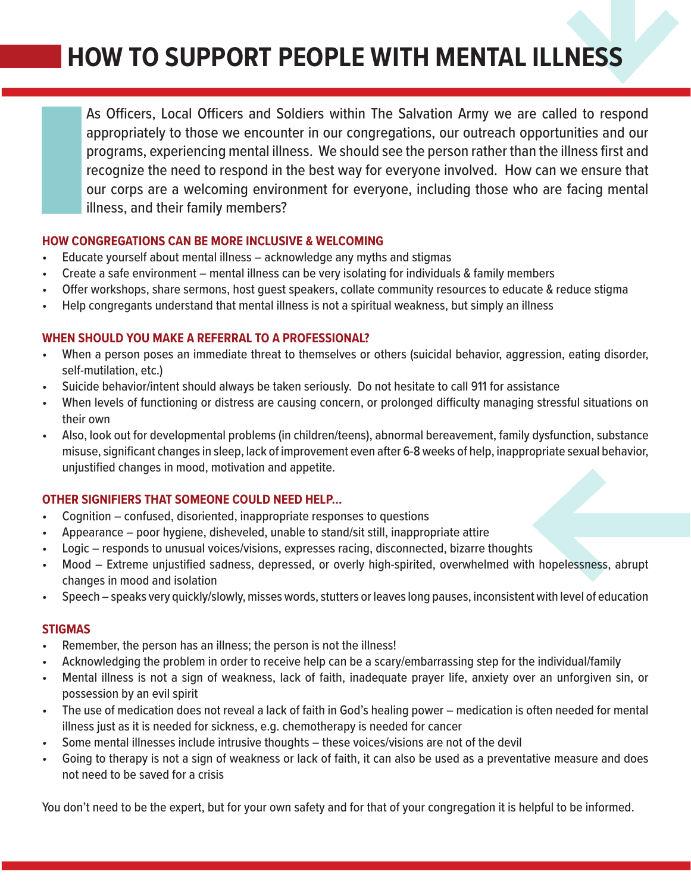# **HOW TO SUPPORT PEOPLE WITH MENTAL ILLNESS**

As Officers, Local Officers and Soldiers within The Salvation Army we are called to respond appropriately to those we encounter in our congregations, our outreach opportunities and our programs, experiencing mental illness. We should see the person rather than the illness first and recognize the need to respond in the best way for everyone involved. How can we ensure that our corps are a welcoming environment for everyone, including those who are facing mental illness, and their family members?

### **HOW CONGREGATIONS CAN BE MORE INCLUSIVE & WELCOMING**

- Educate yourself about mental illness acknowledge any myths and stigmas
- Create a safe environment mental illness can be very isolating for individuals & family members
- Offer workshops, share sermons, host guest speakers, collate community resources to educate & reduce stigma
- Help congregants understand that mental illness is not a spiritual weakness, but simply an illness

## **WHEN SHOULD YOU MAKE A REFERRAL TO A PROFESSIONAL?**

- When a person poses an immediate threat to themselves or others (suicidal behavior, aggression, eating disorder, self-mutilation, etc.)
- Suicide behavior/intent should always be taken seriously. Do not hesitate to call 911 for assistance
- When levels of functioning or distress are causing concern, or prolonged difficulty managing stressful situations on their own
- Also, look out for developmental problems (in children/teens), abnormal bereavement, family dysfunction, substance misuse, significant changes in sleep, lack of improvement even after 6-8 weeks of help, inappropriate sexual behavior, unjustified changes in mood, motivation and appetite.

# **OTHER SIGNIFIERS THAT SOMEONE COULD NEED HELP…**

- Cognition confused, disoriented, inappropriate responses to questions
- Appearance poor hygiene, disheveled, unable to stand/sit still, inappropriate attire
- Logic responds to unusual voices/visions, expresses racing, disconnected, bizarre thoughts
- Mood Extreme unjustified sadness, depressed, or overly high-spirited, overwhelmed with hopelessness, abrupt changes in mood and isolation
- Speech speaks very quickly/slowly, misses words, stutters or leaves long pauses, inconsistent with level of education

# **STIGMAS**

- Remember, the person has an illness; the person is not the illness!
- Acknowledging the problem in order to receive help can be a scary/embarrassing step for the individual/family
- Mental illness is not a sign of weakness, lack of faith, inadequate prayer life, anxiety over an unforgiven sin, or possession by an evil spirit
- The use of medication does not reveal a lack of faith in God's healing power medication is often needed for mental illness just as it is needed for sickness, e.g. chemotherapy is needed for cancer
- Some mental illnesses include intrusive thoughts these voices/visions are not of the devil
- Going to therapy is not a sign of weakness or lack of faith, it can also be used as a preventative measure and does not need to be saved for a crisis

You don't need to be the expert, but for your own safety and for that of your congregation it is helpful to be informed.